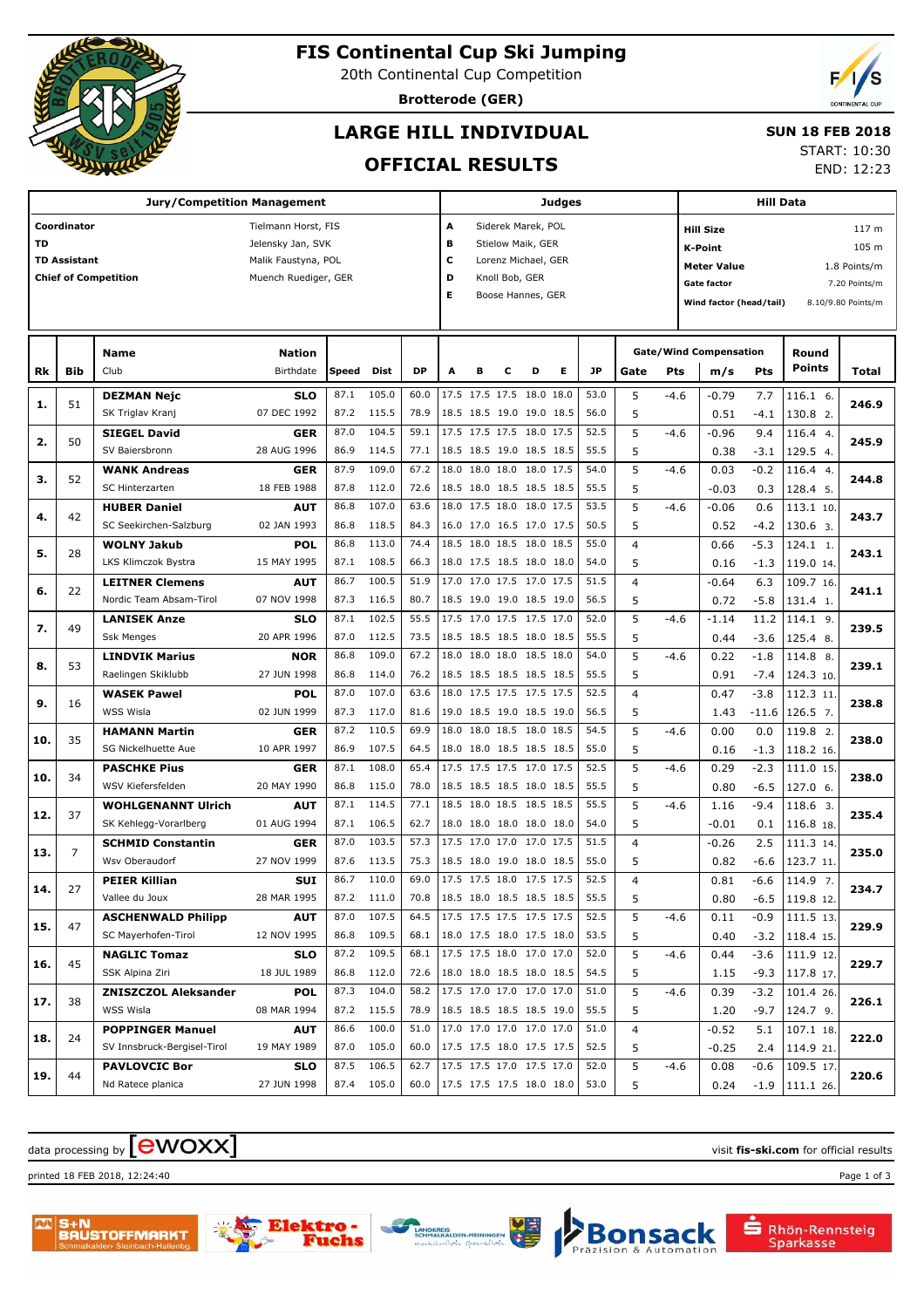

# **FIS Continental Cup Ski Jumping**

20th Continental Cup Competition

**Brotterode (GER)**

## **LARGE HILL INDIVIDUAL**

### **SUN 18 FEB 2018**

**OFFICIAL RESULTS**

START: 10:30 END: 12:23

|           |                     | Jury/Competition Management | Judges               |       |       |           |                          |                          |                |                   | <b>Hill Data</b> |           |                |        |                                    |         |                        |                    |  |
|-----------|---------------------|-----------------------------|----------------------|-------|-------|-----------|--------------------------|--------------------------|----------------|-------------------|------------------|-----------|----------------|--------|------------------------------------|---------|------------------------|--------------------|--|
|           | Coordinator         |                             | Tielmann Horst, FIS  |       |       |           | A<br>Siderek Marek, POL  |                          |                |                   |                  |           |                |        | 117 m<br><b>Hill Size</b>          |         |                        |                    |  |
| <b>TD</b> |                     |                             | Jelensky Jan, SVK    |       |       |           | B                        | Stielow Maik, GER        |                |                   |                  |           |                |        | 105 m<br><b>K-Point</b>            |         |                        |                    |  |
|           | <b>TD Assistant</b> |                             | Malik Faustyna, POL  |       |       |           | c<br>Lorenz Michael, GER |                          |                |                   |                  |           |                |        | <b>Meter Value</b><br>1.8 Points/m |         |                        |                    |  |
|           |                     | <b>Chief of Competition</b> | Muench Ruediger, GER |       |       |           | D                        |                          | Knoll Bob, GER |                   |                  |           |                |        | <b>Gate factor</b>                 |         |                        | 7.20 Points/m      |  |
|           |                     |                             |                      |       |       |           | E                        |                          |                | Boose Hannes, GER |                  |           |                |        | Wind factor (head/tail)            |         |                        | 8.10/9.80 Points/m |  |
|           |                     |                             |                      |       |       |           |                          |                          |                |                   |                  |           |                |        |                                    |         |                        |                    |  |
|           |                     |                             |                      |       |       |           |                          |                          |                |                   |                  |           |                |        |                                    |         |                        |                    |  |
|           |                     | Name                        | <b>Nation</b>        |       |       |           |                          |                          |                |                   |                  |           |                |        | <b>Gate/Wind Compensation</b>      |         | Round<br><b>Points</b> |                    |  |
| Rk        | Bib                 | Club                        | Birthdate            | Speed | Dist  | <b>DP</b> | A                        | в                        | с              | D                 | Е                | <b>JP</b> | Gate           | Pts    | m/s                                | Pts     |                        | Total              |  |
| 1.        | 51                  | <b>DEZMAN Nejc</b>          | <b>SLO</b>           | 87.1  | 105.0 | 60.0      |                          | 17.5 17.5 17.5 18.0      |                |                   | 18.0             | 53.0      | 5              | $-4.6$ | $-0.79$                            | 7.7     | 116.1 6.               | 246.9              |  |
|           |                     | SK Triglav Kranj            | 07 DEC 1992          | 87.2  | 115.5 | 78.9      |                          | 18.5 18.5 19.0 19.0 18.5 |                |                   |                  | 56.0      | 5              |        | 0.51                               | $-4.1$  | 130.8 2.               |                    |  |
| 2.        | 50                  | <b>SIEGEL David</b>         | GER                  | 87.0  | 104.5 | 59.1      |                          | 17.5 17.5 17.5 18.0 17.5 |                |                   |                  | 52.5      | 5              | $-4.6$ | $-0.96$                            | 9.4     | 116.4 4.               | 245.9              |  |
|           |                     | SV Baiersbronn              | 28 AUG 1996          | 86.9  | 114.5 | 77.1      |                          | 18.5 18.5 19.0 18.5 18.5 |                |                   |                  | 55.5      | 5              |        | 0.38                               | $-3.1$  | 129.5 4.               |                    |  |
| з.        | 52                  | <b>WANK Andreas</b>         | GER                  | 87.9  | 109.0 | 67.2      | 18.0                     | 18.0 18.0 18.0 17.5      |                |                   |                  | 54.0      | 5              | $-4.6$ | 0.03                               | $-0.2$  | 116.4 4.               | 244.8              |  |
|           |                     | <b>SC Hinterzarten</b>      | 18 FEB 1988          | 87.8  | 112.0 | 72.6      |                          | 18.5 18.0 18.5 18.5 18.5 |                |                   |                  | 55.5      | 5              |        | $-0.03$                            | 0.3     | 128.4 5.               |                    |  |
| 4.        | 42                  | <b>HUBER Daniel</b>         | AUT                  | 86.8  | 107.0 | 63.6      | 18.0                     | 17.5 18.0                |                | 18.0 17.5         |                  | 53.5      | 5              | $-4.6$ | $-0.06$                            | 0.6     | 113.1 10.              | 243.7              |  |
|           |                     | SC Seekirchen-Salzburg      | 02 JAN 1993          | 86.8  | 118.5 | 84.3      |                          | 16.0 17.0 16.5 17.0 17.5 |                |                   |                  | 50.5      | 5              |        | 0.52                               | $-4.2$  | 130.6 3.               |                    |  |
| 5.        | 28                  | <b>WOLNY Jakub</b>          | <b>POL</b>           | 86.8  | 113.0 | 74.4      |                          | 18.5 18.0 18.5 18.0 18.5 |                |                   |                  | 55.0      | $\overline{4}$ |        | 0.66                               | $-5.3$  | 124.1 1.               | 243.1              |  |
|           |                     | <b>LKS Klimczok Bystra</b>  | 15 MAY 1995          | 87.1  | 108.5 | 66.3      |                          | 18.0 17.5 18.5 18.0 18.0 |                |                   |                  | 54.0      | 5              |        | 0.16                               | $-1.3$  | 119.0 14.              |                    |  |
| 6.        | 22                  | <b>LEITNER Clemens</b>      | AUT                  | 86.7  | 100.5 | 51.9      |                          | 17.0 17.0 17.5 17.0 17.5 |                |                   |                  | 51.5      | $\overline{4}$ |        | $-0.64$                            | 6.3     | 109.7 16.              | 241.1              |  |
|           |                     | Nordic Team Absam-Tirol     | 07 NOV 1998          | 87.3  | 116.5 | 80.7      |                          | 18.5 19.0 19.0 18.5 19.0 |                |                   |                  | 56.5      | 5              |        | 0.72                               | $-5.8$  | 131.4 1.               |                    |  |
| 7.        | 49                  | <b>LANISEK Anze</b>         | <b>SLO</b>           | 87.1  | 102.5 | 55.5      |                          | 17.5 17.0 17.5 17.5 17.0 |                |                   |                  | 52.0      | 5              | $-4.6$ | $-1.14$                            | 11.2    | 114.1 9.               | 239.5              |  |
|           |                     | <b>Ssk Menges</b>           | 20 APR 1996          | 87.0  | 112.5 | 73.5      |                          | 18.5 18.5 18.5 18.0 18.5 |                |                   |                  | 55.5      | 5              |        | 0.44                               | $-3.6$  | 125.4 8.               |                    |  |
| 8.        | 53                  | <b>LINDVIK Marius</b>       | <b>NOR</b>           | 86.8  | 109.0 | 67.2      | 18.0                     | 18.0 18.0 18.5 18.0      |                |                   |                  | 54.0      | 5              | $-4.6$ | 0.22                               | $-1.8$  | 114.8 8.               | 239.1              |  |
|           |                     | Raelingen Skiklubb          | 27 JUN 1998          | 86.8  | 114.0 | 76.2      |                          | 18.5 18.5 18.5 18.5 18.5 |                |                   |                  | 55.5      | 5              |        | 0.91                               | $-7.4$  | 124.3 10.              |                    |  |
| 9.        | 16                  | <b>WASEK Pawel</b>          | <b>POL</b>           | 87.0  | 107.0 | 63.6      | 18.0                     | 17.5 17.5 17.5 17.5      |                |                   |                  | 52.5      | $\overline{4}$ |        | 0.47                               | $-3.8$  | 112.3 11               | 238.8              |  |
|           |                     | WSS Wisla                   | 02 JUN 1999          | 87.3  | 117.0 | 81.6      |                          | 19.0 18.5 19.0 18.5 19.0 |                |                   |                  | 56.5      | 5              |        | 1.43                               | $-11.6$ | 126.5 7.               |                    |  |
| 10.       | 35                  | <b>HAMANN Martin</b>        | GER                  | 87.2  | 110.5 | 69.9      | 18.0                     | 18.0 18.5 18.0 18.5      |                |                   |                  | 54.5      | 5              | $-4.6$ | 0.00                               | 0.0     | 119.8 2.               | 238.0              |  |
|           |                     | SG Nickelhuette Aue         | 10 APR 1997          | 86.9  | 107.5 | 64.5      |                          | 18.0 18.0 18.5 18.5 18.5 |                |                   |                  | 55.0      | 5              |        | 0.16                               | $-1.3$  | 118.2 16.              |                    |  |
| 10.       | 34                  | <b>PASCHKE Pius</b>         | GER                  | 87.1  | 108.0 | 65.4      |                          | 17.5 17.5 17.5 17.0 17.5 |                |                   |                  | 52.5      | 5              | $-4.6$ | 0.29                               | $-2.3$  | 111.0 15               | 238.0              |  |
|           |                     | WSV Kiefersfelden           | 20 MAY 1990          | 86.8  | 115.0 | 78.0      |                          | 18.5 18.5 18.5 18.0 18.5 |                |                   |                  | 55.5      | 5              |        | 0.80                               | $-6.5$  | 127.0 6.               |                    |  |
| 12.       | 37                  | <b>WOHLGENANNT Ulrich</b>   | <b>AUT</b>           | 87.1  | 114.5 | 77.1      | 18.5                     | 18.0 18.5 18.5 18.5      |                |                   |                  | 55.5      | 5              | $-4.6$ | 1.16                               | $-9.4$  | 118.6 3.               | 235.4              |  |
|           |                     | SK Kehlegg-Vorarlberg       | 01 AUG 1994          | 87.1  | 106.5 | 62.7      |                          | 18.0 18.0 18.0 18.0 18.0 |                |                   |                  | 54.0      | 5              |        | $-0.01$                            | 0.1     | 116.8 18.              |                    |  |
| 13.       | 7                   | <b>SCHMID Constantin</b>    | GER                  | 87.0  | 103.5 | 57.3      |                          | 17.5 17.0 17.0           |                | 17.0 17.5         |                  | 51.5      | $\overline{4}$ |        | $-0.26$                            | 2.5     | 111.3 14.              | 235.0              |  |
|           |                     | Wsv Oberaudorf              | 27 NOV 1999          | 87.6  | 113.5 | 75.3      |                          | 18.5 18.0 19.0 18.0 18.5 |                |                   |                  | 55.0      | 5              |        | 0.82                               | $-6.6$  | 123.7 11.              |                    |  |
| 14.       | 27                  | <b>PEIER Killian</b>        | <b>SUI</b>           | 86.7  | 110.0 | 69.0      |                          | 17.5 17.5 18.0 17.5 17.5 |                |                   |                  | 52.5      | $\overline{4}$ |        | 0.81                               | $-6.6$  | 114.9 7.               | 234.7              |  |
|           |                     | Vallee du Joux              | 28 MAR 1995          | 87.2  | 111.0 | 70.8      |                          | 18.5 18.0 18.5 18.5 18.5 |                |                   |                  | 55.5      | 5              |        | 0.80                               |         | $-6.5$ 119.8 12.       |                    |  |
| 15.       | 47                  | <b>ASCHENWALD Philipp</b>   | <b>AUT</b>           | 87.0  | 107.5 | 64.5      |                          | 17.5 17.5 17.5 17.5 17.5 |                |                   |                  | 52.5      | 5              | $-4.6$ | 0.11                               | $-0.9$  | 111.5 13.              | 229.9              |  |
|           |                     | SC Mayerhofen-Tirol         | 12 NOV 1995          | 86.8  | 109.5 | 68.1      |                          | 18.0 17.5 18.0 17.5 18.0 |                |                   |                  | 53.5      | 5              |        | 0.40                               | $-3.2$  | $118.4$ 15.            |                    |  |
| 16.       | 45                  | <b>NAGLIC Tomaz</b>         | SLO                  | 87.2  | 109.5 | 68.1      |                          | 17.5 17.5 18.0 17.0 17.0 |                |                   |                  | 52.0      | 5              | $-4.6$ | 0.44                               | $-3.6$  | 111.9 12.              | 229.7              |  |
|           |                     | SSK Alpina Ziri             | 18 JUL 1989          | 86.8  | 112.0 | 72.6      |                          | 18.0 18.0 18.5 18.0 18.5 |                |                   |                  | 54.5      | 5              |        | 1.15                               | $-9.3$  | 117.8 17               |                    |  |
|           | 38                  | <b>ZNISZCZOL Aleksander</b> | <b>POL</b>           | 87.3  | 104.0 | 58.2      |                          | 17.5 17.0 17.0 17.0 17.0 |                |                   |                  | 51.0      | 5              | $-4.6$ | 0.39                               | $-3.2$  | 101.4 26.              |                    |  |
| 17.       |                     | WSS Wisla                   | 08 MAR 1994          | 87.2  | 115.5 | 78.9      |                          | 18.5 18.5 18.5 18.5 19.0 |                |                   |                  | 55.5      | 5              |        | 1.20                               | $-9.7$  | 124.7 9.               | 226.1              |  |
|           |                     | <b>POPPINGER Manuel</b>     | <b>AUT</b>           | 86.6  | 100.0 | 51.0      |                          | 17.0 17.0 17.0 17.0 17.0 |                |                   |                  | 51.0      | 4              |        | $-0.52$                            | 5.1     | 107.1 18.              |                    |  |
| 18.       | 24                  | SV Innsbruck-Bergisel-Tirol | 19 MAY 1989          | 87.0  | 105.0 | 60.0      |                          | 17.5 17.5 18.0 17.5 17.5 |                |                   |                  | 52.5      | 5              |        | $-0.25$                            | 2.4     | 114.9 21.              | 222.0              |  |
|           | 44                  | <b>PAVLOVCIC Bor</b>        | <b>SLO</b>           | 87.5  | 106.5 | 62.7      |                          | 17.5 17.5 17.0 17.5 17.0 |                |                   |                  | 52.0      | 5              | $-4.6$ | 0.08                               | $-0.6$  | 109.5 17.              |                    |  |
| 19.       |                     | Nd Ratece planica           | 27 JUN 1998          | 87.4  | 105.0 | 60.0      |                          | 17.5 17.5 17.5 18.0 18.0 |                |                   |                  | 53.0      | 5              |        | 0.24                               | $-1.9$  | 111.126                | 220.6              |  |
|           |                     |                             |                      |       |       |           |                          |                          |                |                   |                  |           |                |        |                                    |         |                        |                    |  |

## $\alpha$  data processing by  $\boxed{\text{ewOX}}$

printed 18 FEB 2018, 12:24:40 Page 1 of 3







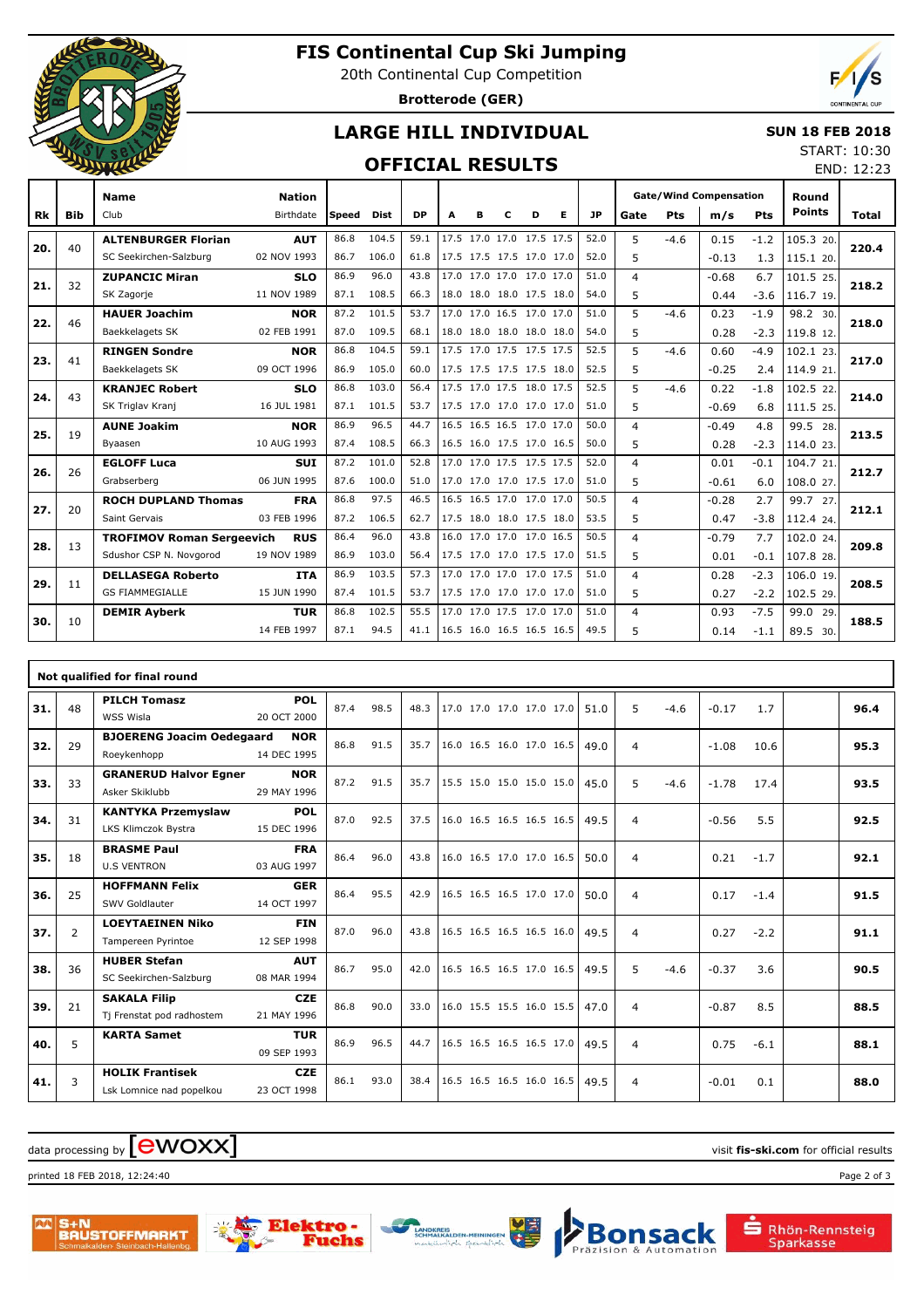

## **FIS Continental Cup Ski Jumping**

20th Continental Cup Competition

**Brotterode (GER)**



## **LARGE HILL INDIVIDUAL**

#### **SUN 18 FEB 2018** START: 10:30

## **OFFICIAL RESULTS**

|           |            | <b>ELIVERS</b>                   |               |              |             |           |   |   | END: 12:23               |   |                          |           |                |        |                               |        |               |              |  |
|-----------|------------|----------------------------------|---------------|--------------|-------------|-----------|---|---|--------------------------|---|--------------------------|-----------|----------------|--------|-------------------------------|--------|---------------|--------------|--|
|           |            | <b>Name</b>                      | <b>Nation</b> |              |             |           |   |   |                          |   |                          |           |                |        | <b>Gate/Wind Compensation</b> |        | Round         |              |  |
| <b>Rk</b> | <b>Bib</b> | Club                             | Birthdate     | <b>Speed</b> | <b>Dist</b> | <b>DP</b> | A | R | C                        | D | Е                        | <b>JP</b> | Gate           | Pts    | m/s                           | Pts    | <b>Points</b> | <b>Total</b> |  |
|           |            | <b>ALTENBURGER Florian</b>       | <b>AUT</b>    | 86.8         | 104.5       | 59.1      |   |   | 17.5 17.0 17.0 17.5 17.5 |   |                          | 52.0      | 5              | $-4.6$ | 0.15                          | $-1.2$ | 105.3 20.     |              |  |
| 20.       | 40         | SC Seekirchen-Salzburg           | 02 NOV 1993   | 86.7         | 106.0       | 61.8      |   |   | 17.5 17.5 17.5 17.0 17.0 |   |                          | 52.0      | 5              |        | $-0.13$                       | 1.3    | 115.1 20.     | 220.4        |  |
| 21.       | 32         | <b>ZUPANCIC Miran</b>            | <b>SLO</b>    | 86.9         | 96.0        | 43.8      |   |   | 17.0 17.0 17.0 17.0 17.0 |   |                          | 51.0      | $\overline{4}$ |        | $-0.68$                       | 6.7    | 101.5 25.     | 218.2        |  |
|           |            | SK Zagorje                       | 11 NOV 1989   | 87.1         | 108.5       | 66.3      |   |   | 18.0 18.0 18.0 17.5 18.0 |   |                          | 54.0      | 5              |        | 0.44                          | $-3.6$ | 116.7 19.     |              |  |
| 22.       | 46         | <b>HAUER Joachim</b>             | <b>NOR</b>    | 87.2         | 101.5       | 53.7      |   |   | 17.0 17.0 16.5 17.0 17.0 |   |                          | 51.0      | 5              | $-4.6$ | 0.23                          | $-1.9$ | 98.2 30.      | 218.0        |  |
|           |            | Baekkelagets SK                  | 02 FEB 1991   | 87.0         | 109.5       | 68.1      |   |   | 18.0 18.0 18.0 18.0 18.0 |   |                          | 54.0      | 5              |        | 0.28                          | $-2.3$ | 119.8 12.     |              |  |
| 23.       | 41         | <b>RINGEN Sondre</b>             | <b>NOR</b>    | 86.8         | 104.5       | 59.1      |   |   | 17.5 17.0 17.5 17.5 17.5 |   |                          | 52.5      | 5              | $-4.6$ | 0.60                          | $-4.9$ | 102.1 23.     | 217.0        |  |
|           |            | Baekkelagets SK                  | 09 OCT 1996   | 86.9         | 105.0       | 60.0      |   |   | 17.5 17.5 17.5 17.5 18.0 |   |                          | 52.5      | 5              |        | $-0.25$                       | 2.4    | 114.9 21.     |              |  |
| 24.       | 43         | <b>KRANJEC Robert</b>            | <b>SLO</b>    | 86.8         | 103.0       | 56.4      |   |   | 17.5 17.0 17.5 18.0 17.5 |   |                          | 52.5      | 5              | $-4.6$ | 0.22                          | $-1.8$ | 102.5 22.     | 214.0        |  |
|           |            | SK Triglav Kranj                 | 16 JUL 1981   | 87.1         | 101.5       | 53.7      |   |   | 17.5 17.0 17.0 17.0 17.0 |   |                          | 51.0      | 5              |        | $-0.69$                       | 6.8    | 111.5 25.     |              |  |
| 25.       | 19         | <b>AUNE Joakim</b>               | <b>NOR</b>    | 86.9         | 96.5        | 44.7      |   |   | 16.5 16.5 16.5 17.0 17.0 |   |                          | 50.0      | $\overline{4}$ |        | $-0.49$                       | 4.8    | 99.5 28.      | 213.5        |  |
|           |            | Byaasen                          | 10 AUG 1993   | 87.4         | 108.5       | 66.3      |   |   | 16.5 16.0 17.5 17.0 16.5 |   |                          | 50.0      | 5              |        | 0.28                          | $-2.3$ | 114.0 23.     |              |  |
| 26.       | 26         | <b>EGLOFF Luca</b>               | <b>SUI</b>    | 87.2         | 101.0       | 52.8      |   |   | 17.0 17.0 17.5 17.5 17.5 |   |                          | 52.0      | $\overline{4}$ |        | 0.01                          | $-0.1$ | 104.7 21.     | 212.7        |  |
|           |            | Grabserberg                      | 06 JUN 1995   | 87.6         | 100.0       | 51.0      |   |   | 17.0 17.0 17.0 17.5 17.0 |   |                          | 51.0      | 5              |        | $-0.61$                       | 6.0    | 108.0 27.     |              |  |
| 27.       | 20         | <b>ROCH DUPLAND Thomas</b>       | <b>FRA</b>    | 86.8         | 97.5        | 46.5      |   |   | 16.5 16.5 17.0 17.0 17.0 |   |                          | 50.5      | $\overline{4}$ |        | $-0.28$                       | 2.7    | 99.7 27.      | 212.1        |  |
|           |            | Saint Gervais                    | 03 FEB 1996   | 87.2         | 106.5       | 62.7      |   |   | 17.5 18.0 18.0 17.5 18.0 |   |                          | 53.5      | 5.             |        | 0.47                          | $-3.8$ | 112.4 24.     |              |  |
| 28.       | 13         | <b>TROFIMOV Roman Sergeevich</b> | <b>RUS</b>    | 86.4         | 96.0        | 43.8      |   |   | 16.0 17.0 17.0 17.0 16.5 |   |                          | 50.5      | $\overline{4}$ |        | $-0.79$                       | 7.7    | 102.0 24.     | 209.8        |  |
|           |            | Sdushor CSP N. Novgorod          | 19 NOV 1989   | 86.9         | 103.0       | 56.4      |   |   | 17.5 17.0 17.0 17.5 17.0 |   |                          | 51.5      | 5              |        | 0.01                          | $-0.1$ | 107.8 28.     |              |  |
| 29.       | 11         | <b>DELLASEGA Roberto</b>         | <b>ITA</b>    | 86.9         | 103.5       | 57.3      |   |   | 17.0 17.0 17.0 17.0 17.5 |   |                          | 51.0      | $\overline{4}$ |        | 0.28                          | $-2.3$ | 106.0 19.     | 208.5        |  |
|           |            | <b>GS FIAMMEGIALLE</b>           | 15 JUN 1990   | 87.4         | 101.5       | 53.7      |   |   | 17.5 17.0 17.0 17.0 17.0 |   |                          | 51.0      | 5.             |        | 0.27                          | $-2.2$ | 102.5 29.     |              |  |
| 30.       | 10         | <b>DEMIR Ayberk</b>              | <b>TUR</b>    | 86.8         | 102.5       | 55.5      |   |   | 17.0 17.0 17.5 17.0 17.0 |   |                          | 51.0      | $\overline{4}$ |        | 0.93                          | $-7.5$ | 99.0 29.      | 188.5        |  |
|           |            |                                  | 14 FEB 1997   | 87.1         | 94.5        | 41.1      |   |   |                          |   | 16.5 16.0 16.5 16.5 16.5 | 49.5      | 5              |        | 0.14                          | $-1.1$ | 89.5 30.      |              |  |

|     |                | Not qualified for final round    |             |      |      |      |                          |  |      |   |        |         |        |      |
|-----|----------------|----------------------------------|-------------|------|------|------|--------------------------|--|------|---|--------|---------|--------|------|
| 31. | 48             | <b>PILCH Tomasz</b>              | <b>POL</b>  | 87.4 | 98.5 | 48.3 | 17.0 17.0 17.0 17.0 17.0 |  | 51.0 | 5 | $-4.6$ | $-0.17$ | 1.7    | 96.4 |
|     |                | WSS Wisla                        | 20 OCT 2000 |      |      |      |                          |  |      |   |        |         |        |      |
| 32. | 29             | <b>BJOERENG Joacim Oedegaard</b> | <b>NOR</b>  | 86.8 | 91.5 | 35.7 | 16.0 16.5 16.0 17.0 16.5 |  | 49.0 | 4 |        | $-1.08$ | 10.6   | 95.3 |
|     |                | Roeykenhopp                      | 14 DEC 1995 |      |      |      |                          |  |      |   |        |         |        |      |
| 33. | 33             | <b>GRANERUD Halvor Egner</b>     | <b>NOR</b>  | 87.2 | 91.5 | 35.7 | 15.5 15.0 15.0 15.0 15.0 |  | 45.0 | 5 | $-4.6$ | $-1.78$ | 17.4   | 93.5 |
|     |                | Asker Skiklubb                   | 29 MAY 1996 |      |      |      |                          |  |      |   |        |         |        |      |
| 34. | 31             | <b>KANTYKA Przemyslaw</b>        | <b>POL</b>  | 87.0 | 92.5 | 37.5 | 16.0 16.5 16.5 16.5 16.5 |  | 49.5 | 4 |        | $-0.56$ | 5.5    | 92.5 |
|     |                | LKS Klimczok Bystra              | 15 DEC 1996 |      |      |      |                          |  |      |   |        |         |        |      |
| 35. | 18             | <b>BRASME Paul</b>               | <b>FRA</b>  | 86.4 | 96.0 | 43.8 | 16.0 16.5 17.0 17.0 16.5 |  | 50.0 | 4 |        | 0.21    | $-1.7$ | 92.1 |
|     |                | <b>U.S VENTRON</b>               | 03 AUG 1997 |      |      |      |                          |  |      |   |        |         |        |      |
| 36. | 25             | <b>HOFFMANN Felix</b>            | <b>GER</b>  | 86.4 | 95.5 | 42.9 | 16.5 16.5 16.5 17.0 17.0 |  | 50.0 | 4 |        | 0.17    | $-1.4$ | 91.5 |
|     |                | SWV Goldlauter                   | 14 OCT 1997 |      |      |      |                          |  |      |   |        |         |        |      |
| 37. | $\overline{2}$ | <b>LOEYTAEINEN Niko</b>          | <b>FIN</b>  | 87.0 | 96.0 | 43.8 | 16.5 16.5 16.5 16.5 16.0 |  | 49.5 | 4 |        | 0.27    | $-2.2$ | 91.1 |
|     |                | Tampereen Pyrintoe               | 12 SEP 1998 |      |      |      |                          |  |      |   |        |         |        |      |
| 38. | 36             | <b>HUBER Stefan</b>              | <b>AUT</b>  | 86.7 | 95.0 | 42.0 | 16.5 16.5 16.5 17.0 16.5 |  | 49.5 | 5 | $-4.6$ | $-0.37$ | 3.6    | 90.5 |
|     |                | SC Seekirchen-Salzburg           | 08 MAR 1994 |      |      |      |                          |  |      |   |        |         |        |      |
| 39. | 21             | <b>SAKALA Filip</b>              | <b>CZE</b>  | 86.8 | 90.0 | 33.0 | 16.0 15.5 15.5 16.0 15.5 |  | 47.0 | 4 |        | $-0.87$ | 8.5    | 88.5 |
|     |                | Tj Frenstat pod radhostem        | 21 MAY 1996 |      |      |      |                          |  |      |   |        |         |        |      |
| 40. | 5              | <b>KARTA Samet</b>               | <b>TUR</b>  | 86.9 | 96.5 | 44.7 | 16.5 16.5 16.5 16.5 17.0 |  | 49.5 | 4 |        | 0.75    | $-6.1$ | 88.1 |
|     |                |                                  | 09 SEP 1993 |      |      |      |                          |  |      |   |        |         |        |      |
| 41. | 3              | <b>HOLIK Frantisek</b>           | <b>CZE</b>  | 86.1 | 93.0 | 38.4 | 16.5 16.5 16.5 16.0 16.5 |  | 49.5 | 4 |        | $-0.01$ | 0.1    | 88.0 |
|     |                | Lsk Lomnice nad popelkou         | 23 OCT 1998 |      |      |      |                          |  |      |   |        |         |        |      |

# $\alpha$  data processing by  $\boxed{\text{ewOX}}$

printed 18 FEB 2018, 12:24:40 Page 2 of 3